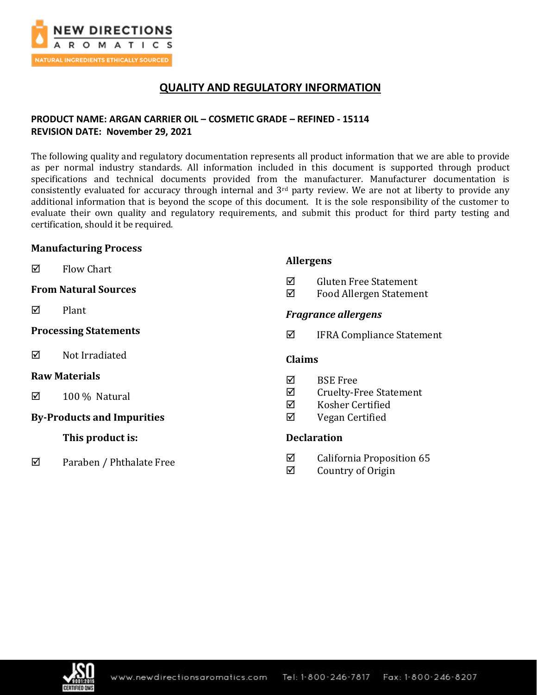

## **QUALITY AND REGULATORY INFORMATION**

### **PRODUCT NAME: ARGAN CARRIER OIL – COSMETIC GRADE – REFINED - 15114 REVISION DATE: November 29, 2021**

The following quality and regulatory documentation represents all product information that we are able to provide as per normal industry standards. All information included in this document is supported through product specifications and technical documents provided from the manufacturer. Manufacturer documentation is consistently evaluated for accuracy through internal and 3<sup>rd</sup> party review. We are not at liberty to provide any additional information that is beyond the scope of this document. It is the sole responsibility of the customer to evaluate their own quality and regulatory requirements, and submit this product for third party testing and certification, should it be required.

**Allergens**

### **Manufacturing Process**

| ☑                                 | <b>Flow Chart</b>           | Aliei gelis                |                                                                   |  |
|-----------------------------------|-----------------------------|----------------------------|-------------------------------------------------------------------|--|
|                                   | <b>From Natural Sources</b> | ☑<br>☑                     | <b>Gluten Free Statement</b><br>Food Allergen Statement           |  |
| ☑                                 | Plant                       | <b>Fragrance allergens</b> |                                                                   |  |
| <b>Processing Statements</b>      |                             | ☑                          | <b>IFRA Compliance Statement</b>                                  |  |
| ☑                                 | Not Irradiated              |                            | <b>Claims</b>                                                     |  |
| <b>Raw Materials</b>              |                             | ⊠                          | <b>BSE Free</b>                                                   |  |
| ☑                                 | 100 % Natural               | ☑<br>☑                     | <b>Cruelty-Free Statement</b><br>Kosher Certified                 |  |
| <b>By-Products and Impurities</b> |                             | ☑                          | Vegan Certified                                                   |  |
|                                   | This product is:            | <b>Declaration</b>         |                                                                   |  |
| ⊠                                 | Paraben / Phthalate Free    | ☑<br>▱                     | California Proposition 65<br>$C_1, \ldots, C_n, C_1, \ldots, C_n$ |  |

 $\boxtimes$  Country of Origin

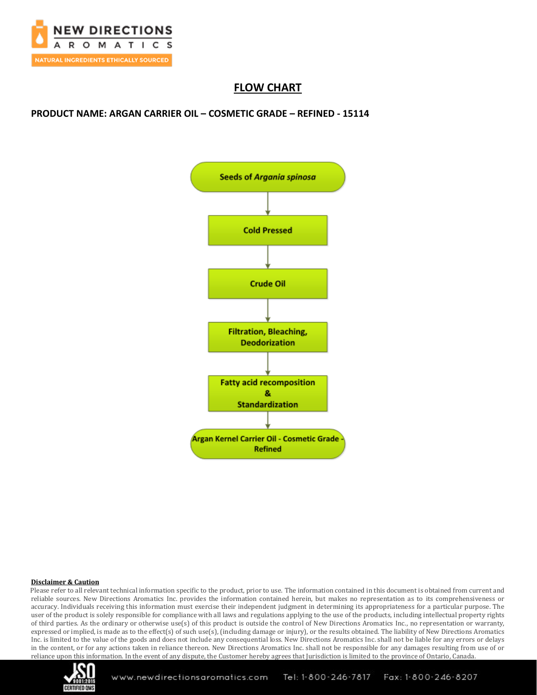

# **FLOW CHART**

**PRODUCT NAME: ARGAN CARRIER OIL – COSMETIC GRADE – REFINED - 15114**



#### **Disclaimer & Caution**

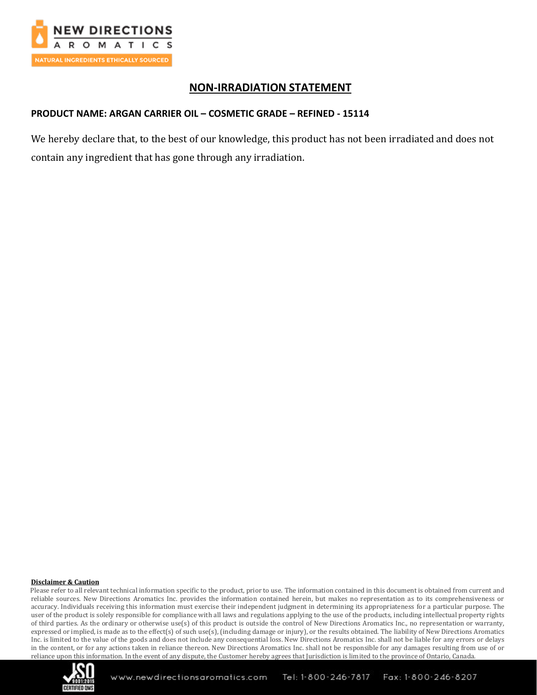

### **NON-IRRADIATION STATEMENT**

### **PRODUCT NAME: ARGAN CARRIER OIL – COSMETIC GRADE – REFINED - 15114**

We hereby declare that, to the best of our knowledge, this product has not been irradiated and does not contain any ingredient that has gone through any irradiation.

#### **Disclaimer & Caution**

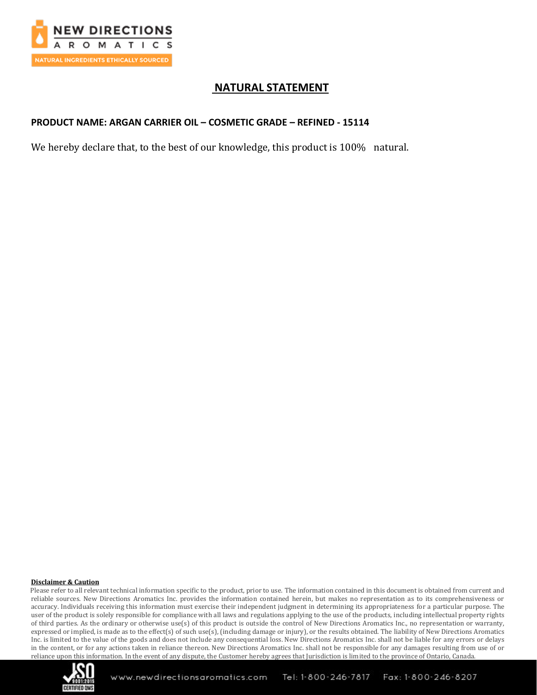

## **NATURAL STATEMENT**

### **PRODUCT NAME: ARGAN CARRIER OIL – COSMETIC GRADE – REFINED - 15114**

We hereby declare that, to the best of our knowledge, this product is 100% natural.

#### **Disclaimer & Caution**

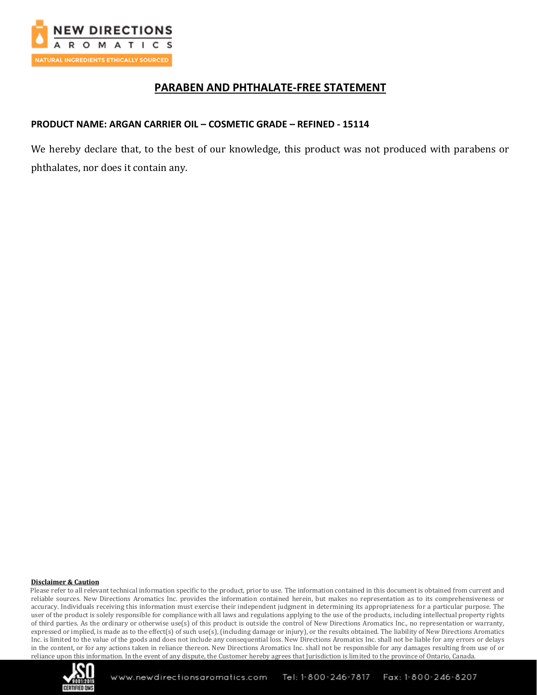

## **PARABEN AND PHTHALATE-FREE STATEMENT**

### **PRODUCT NAME: ARGAN CARRIER OIL – COSMETIC GRADE – REFINED - 15114**

We hereby declare that, to the best of our knowledge, this product was not produced with parabens or phthalates, nor does it contain any.

#### **Disclaimer & Caution**

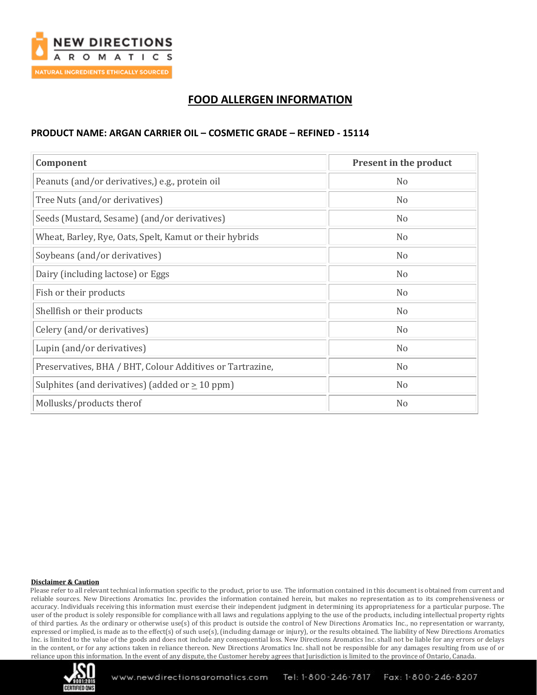

# **FOOD ALLERGEN INFORMATION**

### **PRODUCT NAME: ARGAN CARRIER OIL – COSMETIC GRADE – REFINED - 15114**

| Component                                                 | Present in the product |
|-----------------------------------------------------------|------------------------|
| Peanuts (and/or derivatives,) e.g., protein oil           | N <sub>o</sub>         |
| Tree Nuts (and/or derivatives)                            | N <sub>0</sub>         |
| Seeds (Mustard, Sesame) (and/or derivatives)              | N <sub>0</sub>         |
| Wheat, Barley, Rye, Oats, Spelt, Kamut or their hybrids   | N <sub>0</sub>         |
| Soybeans (and/or derivatives)                             | N <sub>o</sub>         |
| Dairy (including lactose) or Eggs                         | N <sub>0</sub>         |
| Fish or their products                                    | N <sub>0</sub>         |
| Shellfish or their products                               | N <sub>0</sub>         |
| Celery (and/or derivatives)                               | N <sub>0</sub>         |
| Lupin (and/or derivatives)                                | N <sub>o</sub>         |
| Preservatives, BHA / BHT, Colour Additives or Tartrazine, | N <sub>o</sub>         |
| Sulphites (and derivatives) (added or $\geq$ 10 ppm)      | No                     |
| Mollusks/products therof                                  | N <sub>0</sub>         |

#### **Disclaimer & Caution**

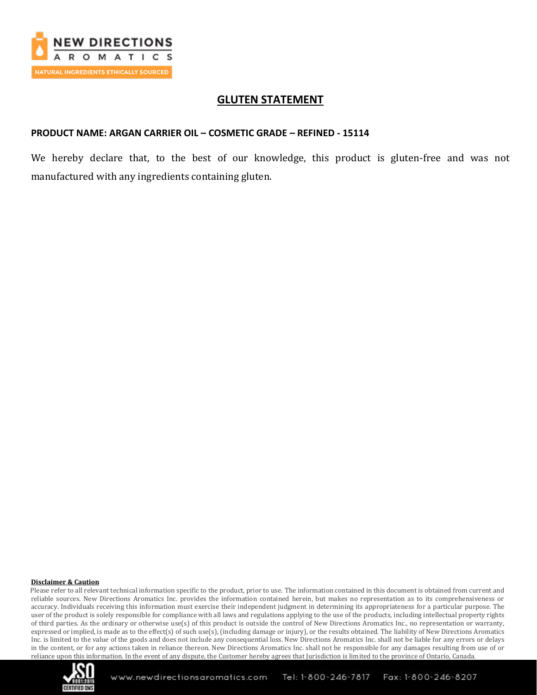

### **GLUTEN STATEMENT**

### **PRODUCT NAME: ARGAN CARRIER OIL – COSMETIC GRADE – REFINED - 15114**

We hereby declare that, to the best of our knowledge, this product is gluten-free and was not manufactured with any ingredients containing gluten.

#### **Disclaimer & Caution**

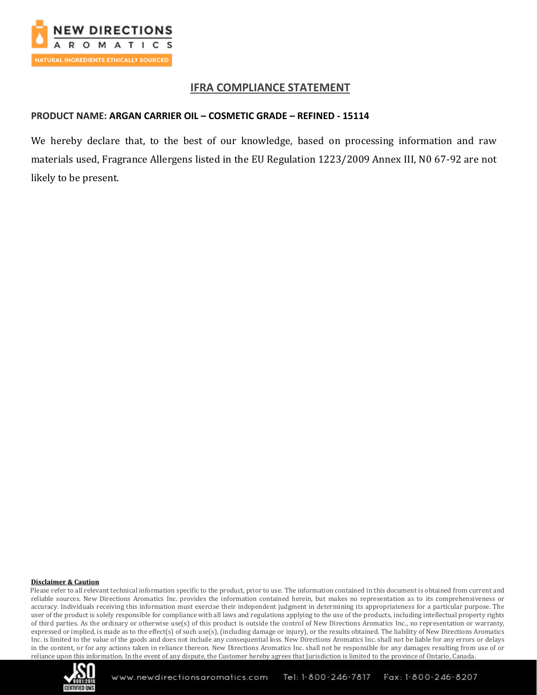

### **IFRA COMPLIANCE STATEMENT**

### **PRODUCT NAME: ARGAN CARRIER OIL – COSMETIC GRADE – REFINED - 15114**

We hereby declare that, to the best of our knowledge, based on processing information and raw materials used, Fragrance Allergens listed in the EU Regulation 1223/2009 Annex III, N0 67-92 are not likely to be present.

#### **Disclaimer & Caution**

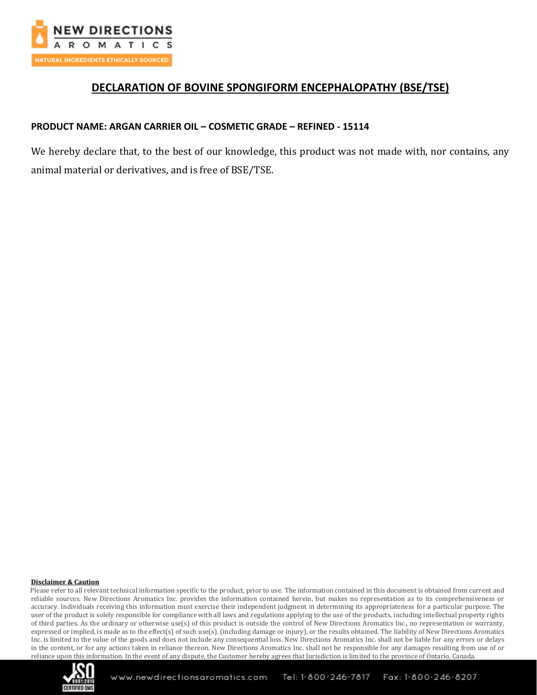

## **DECLARATION OF BOVINE SPONGIFORM ENCEPHALOPATHY (BSE/TSE)**

### **PRODUCT NAME: ARGAN CARRIER OIL – COSMETIC GRADE – REFINED - 15114**

We hereby declare that, to the best of our knowledge, this product was not made with, nor contains, any animal material or derivatives, and is free of BSE/TSE.

#### **Disclaimer & Caution**

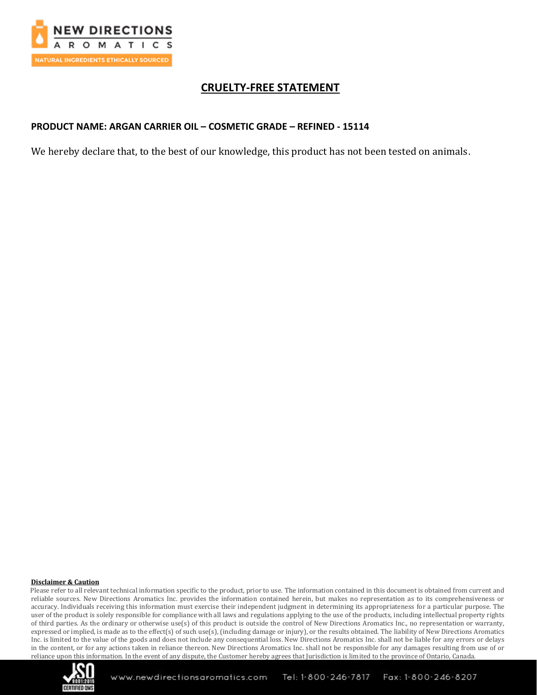

## **CRUELTY-FREE STATEMENT**

### **PRODUCT NAME: ARGAN CARRIER OIL – COSMETIC GRADE – REFINED - 15114**

We hereby declare that, to the best of our knowledge, this product has not been tested on animals.

#### **Disclaimer & Caution**

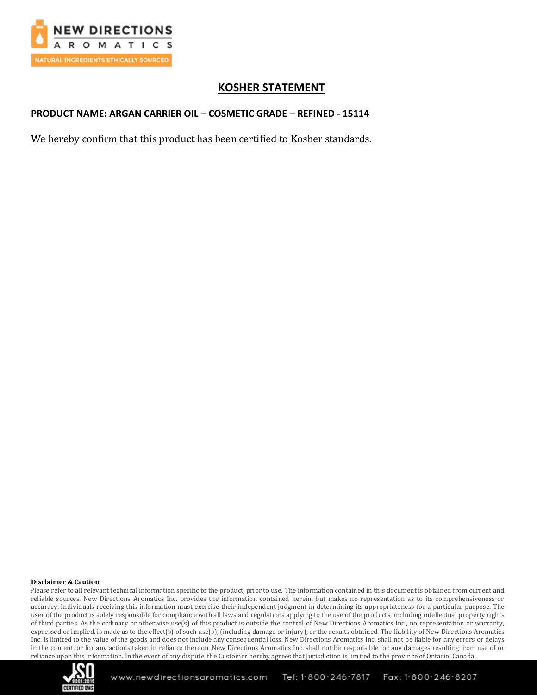

# **KOSHER STATEMENT**

## **PRODUCT NAME: ARGAN CARRIER OIL – COSMETIC GRADE – REFINED - 15114**

We hereby confirm that this product has been certified to Kosher standards.

#### **Disclaimer & Caution**

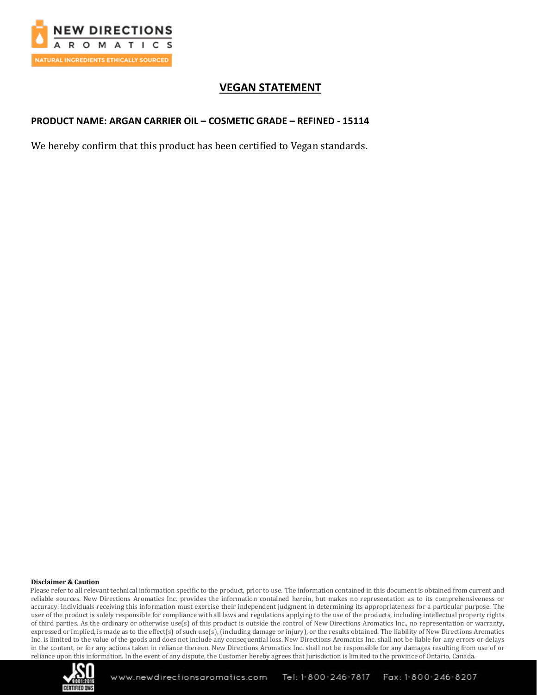

# **VEGAN STATEMENT**

### **PRODUCT NAME: ARGAN CARRIER OIL – COSMETIC GRADE – REFINED - 15114**

We hereby confirm that this product has been certified to Vegan standards.

#### **Disclaimer & Caution**

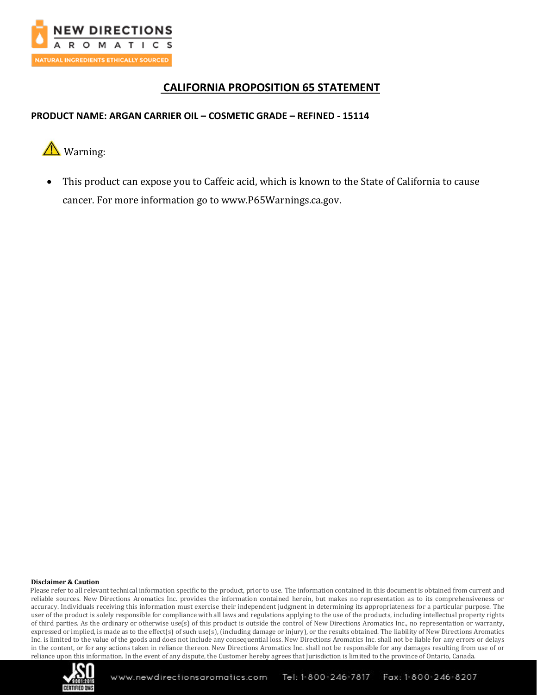

## **CALIFORNIA PROPOSITION 65 STATEMENT**

## **PRODUCT NAME: ARGAN CARRIER OIL – COSMETIC GRADE – REFINED - 15114**



• This product can expose you to Caffeic acid, which is known to the State of California to cause cancer. For more information go to www.P65Warnings.ca.gov.

#### **Disclaimer & Caution**